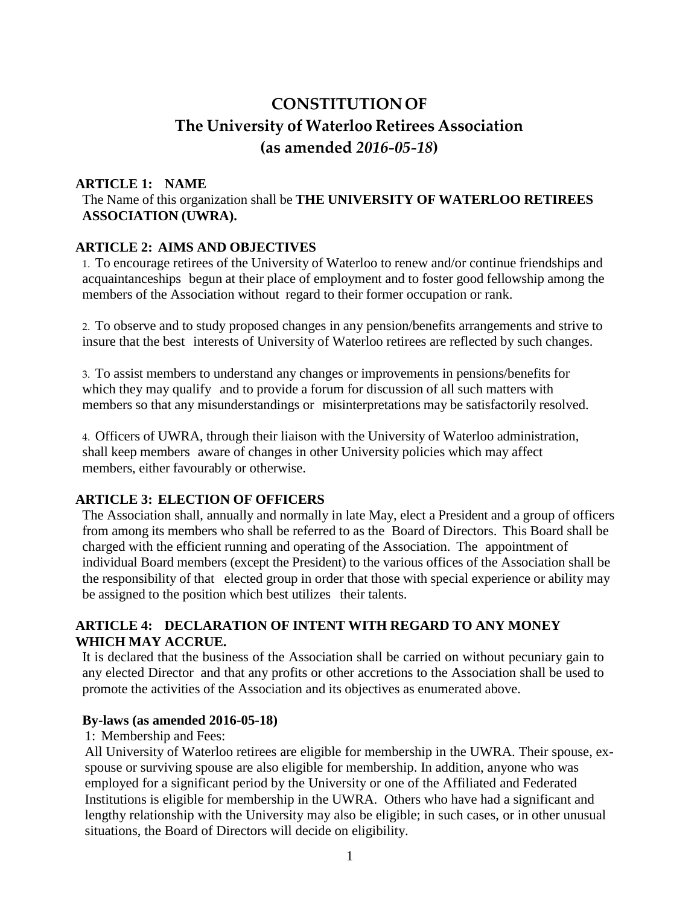# **CONSTITUTION OF The University of Waterloo Retirees Association (as amended** *2016-05-18***)**

## **ARTICLE 1: NAME**

The Name of this organization shall be **THE UNIVERSITY OF WATERLOO RETIREES ASSOCIATION (UWRA).**

### **ARTICLE 2: AIMS AND OBJECTIVES**

1. To encourage retirees of the University of Waterloo to renew and/or continue friendships and acquaintanceships begun at their place of employment and to foster good fellowship among the members of the Association without regard to their former occupation or rank.

2. To observe and to study proposed changes in any pension/benefits arrangements and strive to insure that the best interests of University of Waterloo retirees are reflected by such changes.

3. To assist members to understand any changes or improvements in pensions/benefits for which they may qualify and to provide a forum for discussion of all such matters with members so that any misunderstandings or misinterpretations may be satisfactorily resolved.

4. Officers of UWRA, through their liaison with the University of Waterloo administration, shall keep members aware of changes in other University policies which may affect members, either favourably or otherwise.

# **ARTICLE 3: ELECTION OF OFFICERS**

The Association shall, annually and normally in late May, elect a President and a group of officers from among its members who shall be referred to as the Board of Directors. This Board shall be charged with the efficient running and operating of the Association. The appointment of individual Board members (except the President) to the various offices of the Association shall be the responsibility of that elected group in order that those with special experience or ability may be assigned to the position which best utilizes their talents.

# **ARTICLE 4: DECLARATION OF INTENT WITH REGARD TO ANY MONEY WHICH MAY ACCRUE.**

It is declared that the business of the Association shall be carried on without pecuniary gain to any elected Director and that any profits or other accretions to the Association shall be used to promote the activities of the Association and its objectives as enumerated above.

### **By-laws (as amended 2016-05-18)**

1: Membership and Fees:

All University of Waterloo retirees are eligible for membership in the UWRA. Their spouse, exspouse or surviving spouse are also eligible for membership. In addition, anyone who was employed for a significant period by the University or one of the Affiliated and Federated Institutions is eligible for membership in the UWRA. Others who have had a significant and lengthy relationship with the University may also be eligible; in such cases, or in other unusual situations, the Board of Directors will decide on eligibility.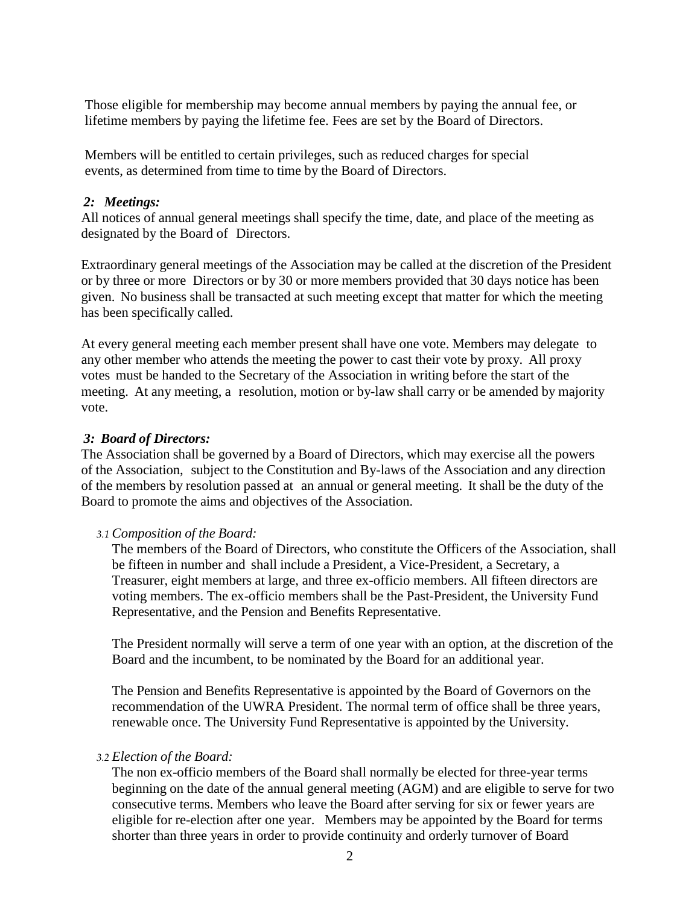Those eligible for membership may become annual members by paying the annual fee, or lifetime members by paying the lifetime fee. Fees are set by the Board of Directors.

Members will be entitled to certain privileges, such as reduced charges for special events, as determined from time to time by the Board of Directors.

### *2: Meetings:*

All notices of annual general meetings shall specify the time, date, and place of the meeting as designated by the Board of Directors.

Extraordinary general meetings of the Association may be called at the discretion of the President or by three or more Directors or by 30 or more members provided that 30 days notice has been given. No business shall be transacted at such meeting except that matter for which the meeting has been specifically called.

At every general meeting each member present shall have one vote. Members may delegate to any other member who attends the meeting the power to cast their vote by proxy. All proxy votes must be handed to the Secretary of the Association in writing before the start of the meeting. At any meeting, a resolution, motion or by-law shall carry or be amended by majority vote.

#### *3: Board of Directors:*

The Association shall be governed by a Board of Directors, which may exercise all the powers of the Association, subject to the Constitution and By-laws of the Association and any direction of the members by resolution passed at an annual or general meeting. It shall be the duty of the Board to promote the aims and objectives of the Association.

#### *3.1 Composition of the Board:*

The members of the Board of Directors, who constitute the Officers of the Association, shall be fifteen in number and shall include a President, a Vice-President, a Secretary, a Treasurer, eight members at large, and three ex-officio members. All fifteen directors are voting members. The ex-officio members shall be the Past-President, the University Fund Representative, and the Pension and Benefits Representative.

The President normally will serve a term of one year with an option, at the discretion of the Board and the incumbent, to be nominated by the Board for an additional year.

The Pension and Benefits Representative is appointed by the Board of Governors on the recommendation of the UWRA President. The normal term of office shall be three years, renewable once. The University Fund Representative is appointed by the University.

#### *3.2 Election of the Board:*

The non ex-officio members of the Board shall normally be elected for three-year terms beginning on the date of the annual general meeting (AGM) and are eligible to serve for two consecutive terms. Members who leave the Board after serving for six or fewer years are eligible for re-election after one year. Members may be appointed by the Board for terms shorter than three years in order to provide continuity and orderly turnover of Board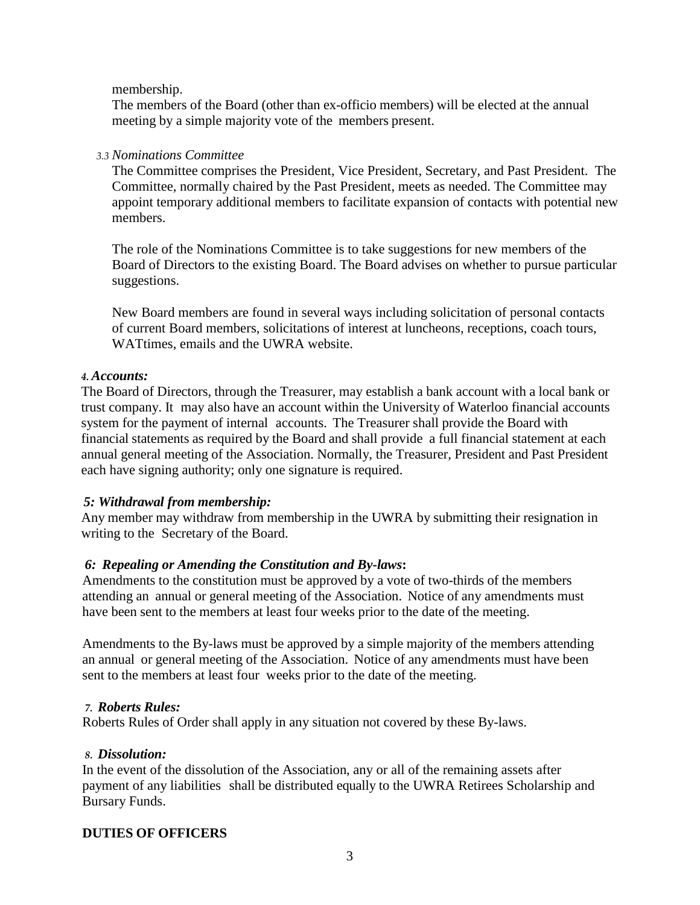### membership.

The members of the Board (other than ex-officio members) will be elected at the annual meeting by a simple majority vote of the members present.

### *3.3 Nominations Committee*

The Committee comprises the President, Vice President, Secretary, and Past President. The Committee, normally chaired by the Past President, meets as needed. The Committee may appoint temporary additional members to facilitate expansion of contacts with potential new members.

The role of the Nominations Committee is to take suggestions for new members of the Board of Directors to the existing Board. The Board advises on whether to pursue particular suggestions.

New Board members are found in several ways including solicitation of personal contacts of current Board members, solicitations of interest at luncheons, receptions, coach tours, WATtimes, emails and the UWRA website.

### *4. Accounts:*

The Board of Directors, through the Treasurer, may establish a bank account with a local bank or trust company. It may also have an account within the University of Waterloo financial accounts system for the payment of internal accounts. The Treasurer shall provide the Board with financial statements as required by the Board and shall provide a full financial statement at each annual general meeting of the Association. Normally, the Treasurer, President and Past President each have signing authority; only one signature is required.

# *5: Withdrawal from membership:*

Any member may withdraw from membership in the UWRA by submitting their resignation in writing to the Secretary of the Board.

# *6: Repealing or Amending the Constitution and By-laws***:**

Amendments to the constitution must be approved by a vote of two-thirds of the members attending an annual or general meeting of the Association. Notice of any amendments must have been sent to the members at least four weeks prior to the date of the meeting.

Amendments to the By-laws must be approved by a simple majority of the members attending an annual or general meeting of the Association. Notice of any amendments must have been sent to the members at least four weeks prior to the date of the meeting.

# *7. Roberts Rules:*

Roberts Rules of Order shall apply in any situation not covered by these By-laws.

### *8. Dissolution:*

In the event of the dissolution of the Association, any or all of the remaining assets after payment of any liabilities shall be distributed equally to the UWRA Retirees Scholarship and Bursary Funds.

# **DUTIES OF OFFICERS**